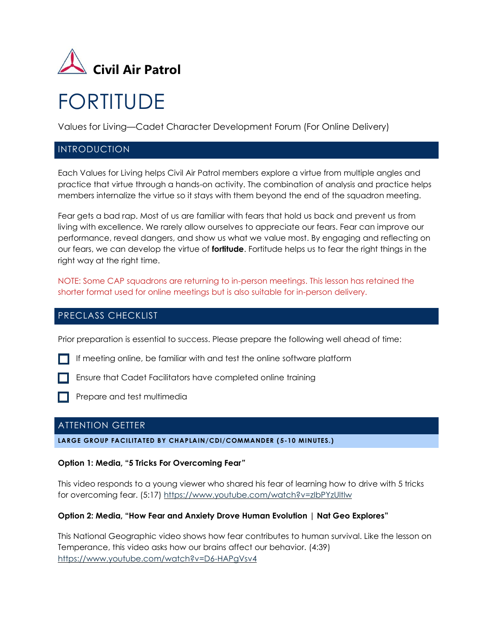

# FORTITUDE

Values for Living—Cadet Character Development Forum (For Online Delivery)

## INTRODUCTION

Each Values for Living helps Civil Air Patrol members explore a virtue from multiple angles and practice that virtue through a hands-on activity. The combination of analysis and practice helps members internalize the virtue so it stays with them beyond the end of the squadron meeting.

Fear gets a bad rap. Most of us are familiar with fears that hold us back and prevent us from living with excellence. We rarely allow ourselves to appreciate our fears. Fear can improve our performance, reveal dangers, and show us what we value most. By engaging and reflecting on our fears, we can develop the virtue of **fortitude**. Fortitude helps us to fear the right things in the right way at the right time.

NOTE: Some CAP squadrons are returning to in-person meetings. This lesson has retained the shorter format used for online meetings but is also suitable for in-person delivery.

# PRECLASS CHECKLIST

Prior preparation is essential to success. Please prepare the following well ahead of time:

- If meeting online, be familiar with and test the online software platform
- Ensure that Cadet Facilitators have completed online training
- Prepare and test multimedia

# ATTENTION GETTER

#### **LARGE GROUP FACILITATED BY CHAPLAIN/CDI/COMMANDER ( 5-10 MINUTES.)**

## **Option 1: Media, "5 Tricks For Overcoming Fear***"*

This video responds to a young viewer who shared his fear of learning how to drive with 5 tricks for overcoming fear. (5:17)<https://www.youtube.com/watch?v=zIbPYzUltlw>

#### **Option 2: Media, "How Fear and Anxiety Drove Human Evolution | Nat Geo Explores"**

This National Geographic video shows how fear contributes to human survival. Like the lesson on Temperance, this video asks how our brains affect our behavior. (4:39) <https://www.youtube.com/watch?v=D6-HAPgVsv4>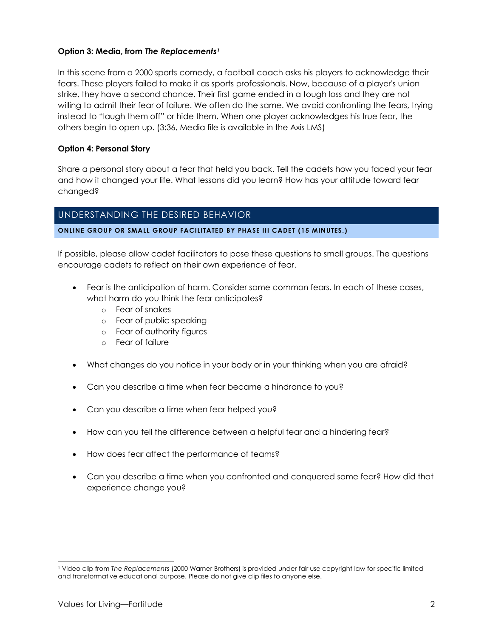## **Option 3: Media, from** *The Replacements<sup>1</sup>*

In this scene from a 2000 sports comedy, a football coach asks his players to acknowledge their fears. These players failed to make it as sports professionals. Now, because of a player's union strike, they have a second chance. Their first game ended in a tough loss and they are not willing to admit their fear of failure. We often do the same. We avoid confronting the fears, trying instead to "laugh them off" or hide them. When one player acknowledges his true fear, the others begin to open up. (3:36, Media file is available in the Axis LMS)

## **Option 4: Personal Story**

Share a personal story about a fear that held you back. Tell the cadets how you faced your fear and how it changed your life. What lessons did you learn? How has your attitude toward fear changed?

## UNDERSTANDING THE DESIRED BEHAVIOR

#### **ONLINE GROUP OR SMALL GROUP FACILITATED BY PHASE III CADET (15 MINUTES.)**

If possible, please allow cadet facilitators to pose these questions to small groups. The questions encourage cadets to reflect on their own experience of fear.

- Fear is the anticipation of harm. Consider some common fears. In each of these cases, what harm do you think the fear anticipates?
	- o Fear of snakes
	- o Fear of public speaking
	- o Fear of authority figures
	- o Fear of failure
- What changes do you notice in your body or in your thinking when you are afraid?
- Can you describe a time when fear became a hindrance to you?
- Can you describe a time when fear helped you?
- How can you tell the difference between a helpful fear and a hindering fear?
- How does fear affect the performance of teams?
- Can you describe a time when you confronted and conquered some fear? How did that experience change you?

<sup>1</sup> Video clip from *The Replacements* (2000 Warner Brothers) is provided under fair use copyright law for specific limited and transformative educational purpose. Please do not give clip files to anyone else.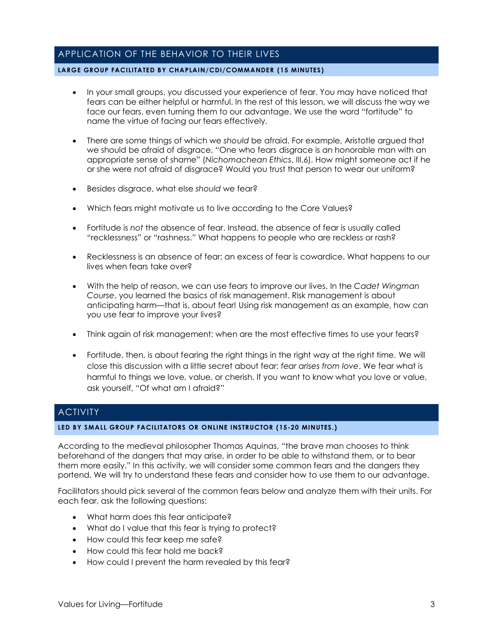# APPLICATION OF THE BEHAVIOR TO THEIR LIVES

#### **LARGE GROUP FACILITATED BY CHAPLAIN/CDI/COMMANDER (15 MINUTES)**

- In your small groups, you discussed your experience of fear. You may have noticed that fears can be either helpful or harmful. In the rest of this lesson, we will discuss the way we face our fears, even turning them to our advantage. We use the word "fortitude" to name the virtue of facing our fears effectively.
- There are some things of which we *should* be afraid. For example, Aristotle argued that we should be afraid of disgrace. "One who fears disgrace is an honorable man with an appropriate sense of shame" (*Nichomachean Ethics*, III.6). How might someone act if he or she were not afraid of disgrace? Would you trust that person to wear our uniform?
- Besides disgrace, what else *should* we fear?
- Which fears might motivate us to live according to the Core Values?
- Fortitude is *not* the absence of fear. Instead, the absence of fear is usually called "recklessness" or "rashness." What happens to people who are reckless or rash?
- Recklessness is an absence of fear; an excess of fear is cowardice. What happens to our lives when fears take over?
- With the help of reason, we can use fears to improve our lives. In the *Cadet Wingman Course*, you learned the basics of risk management. Risk management is about anticipating harm—that is, about fear! Using risk management as an example, how can you use fear to improve your lives?
- Think again of risk management: when are the most effective times to use your fears?
- Fortitude, then, is about fearing the right things in the right way at the right time. We will close this discussion with a little secret about fear: *fear arises from love*. We fear what is harmful to things we love, value, or cherish. If you want to know what you love or value, ask yourself, "Of what am I afraid?"

# **ACTIVITY**

#### **LED BY SMALL GROUP FACILITATORS OR ONLINE INSTRUCTOR (15-20 MINUTES.)**

According to the medieval philosopher Thomas Aquinas, "the brave man chooses to think beforehand of the dangers that may arise, in order to be able to withstand them, or to bear them more easily." In this activity, we will consider some common fears and the dangers they portend. We will try to understand these fears and consider how to use them to our advantage.

Facilitators should pick several of the common fears below and analyze them with their units. For each fear, ask the following questions:

- What harm does this fear anticipate?
- What do I value that this fear is trying to protect?
- How could this fear keep me safe?
- How could this fear hold me back?
- How could I prevent the harm revealed by this fear?